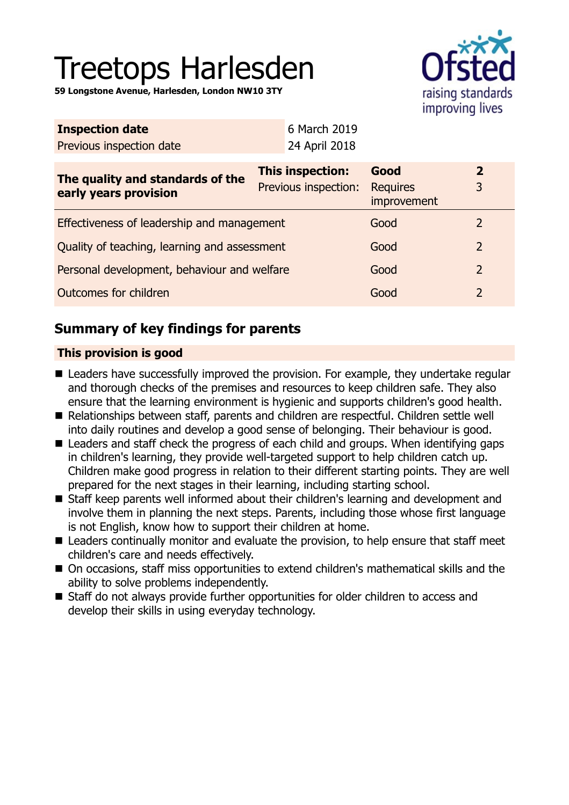# Treetops Harlesden

**59 Longstone Avenue, Harlesden, London NW10 3TY**



| <b>Inspection date</b>                                    | 6 March 2019                                    |                                        |                   |
|-----------------------------------------------------------|-------------------------------------------------|----------------------------------------|-------------------|
| Previous inspection date                                  | 24 April 2018                                   |                                        |                   |
| The quality and standards of the<br>early years provision | <b>This inspection:</b><br>Previous inspection: | Good<br><b>Requires</b><br>improvement | $\mathbf{2}$<br>3 |
| Effectiveness of leadership and management                |                                                 | Good                                   | $\mathcal{L}$     |
| Quality of teaching, learning and assessment              |                                                 | Good                                   | $\overline{2}$    |
| Personal development, behaviour and welfare               |                                                 | Good                                   | $\overline{2}$    |
| Outcomes for children<br>Good                             |                                                 |                                        | 2                 |

## **Summary of key findings for parents**

## **This provision is good**

- Leaders have successfully improved the provision. For example, they undertake regular and thorough checks of the premises and resources to keep children safe. They also ensure that the learning environment is hygienic and supports children's good health.
- Relationships between staff, parents and children are respectful. Children settle well into daily routines and develop a good sense of belonging. Their behaviour is good.
- $\blacksquare$  Leaders and staff check the progress of each child and groups. When identifying gaps in children's learning, they provide well-targeted support to help children catch up. Children make good progress in relation to their different starting points. They are well prepared for the next stages in their learning, including starting school.
- Staff keep parents well informed about their children's learning and development and involve them in planning the next steps. Parents, including those whose first language is not English, know how to support their children at home.
- $\blacksquare$  Leaders continually monitor and evaluate the provision, to help ensure that staff meet children's care and needs effectively.
- On occasions, staff miss opportunities to extend children's mathematical skills and the ability to solve problems independently.
- Staff do not always provide further opportunities for older children to access and develop their skills in using everyday technology.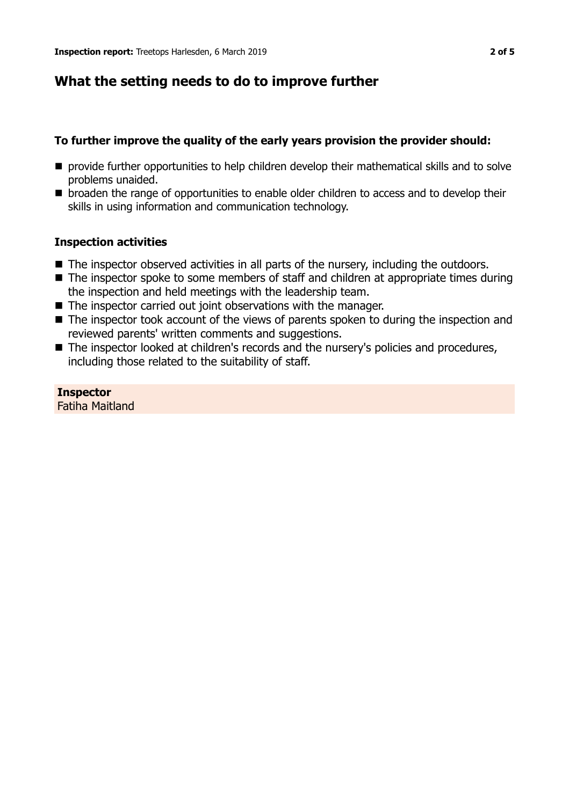## **What the setting needs to do to improve further**

## **To further improve the quality of the early years provision the provider should:**

- **n** provide further opportunities to help children develop their mathematical skills and to solve problems unaided.
- broaden the range of opportunities to enable older children to access and to develop their skills in using information and communication technology.

## **Inspection activities**

- $\blacksquare$  The inspector observed activities in all parts of the nursery, including the outdoors.
- $\blacksquare$  The inspector spoke to some members of staff and children at appropriate times during the inspection and held meetings with the leadership team.
- $\blacksquare$  The inspector carried out joint observations with the manager.
- $\blacksquare$  The inspector took account of the views of parents spoken to during the inspection and reviewed parents' written comments and suggestions.
- The inspector looked at children's records and the nursery's policies and procedures, including those related to the suitability of staff.

**Inspector** Fatiha Maitland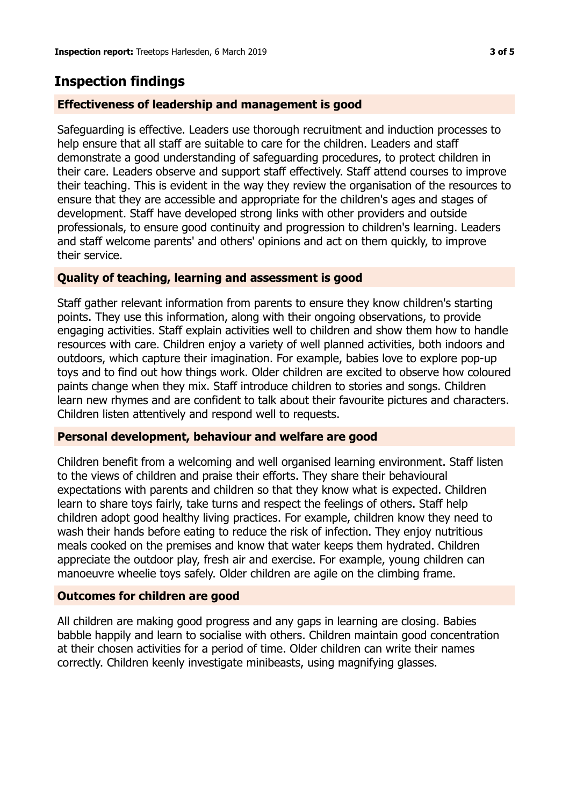## **Inspection findings**

#### **Effectiveness of leadership and management is good**

Safeguarding is effective. Leaders use thorough recruitment and induction processes to help ensure that all staff are suitable to care for the children. Leaders and staff demonstrate a good understanding of safeguarding procedures, to protect children in their care. Leaders observe and support staff effectively. Staff attend courses to improve their teaching. This is evident in the way they review the organisation of the resources to ensure that they are accessible and appropriate for the children's ages and stages of development. Staff have developed strong links with other providers and outside professionals, to ensure good continuity and progression to children's learning. Leaders and staff welcome parents' and others' opinions and act on them quickly, to improve their service.

## **Quality of teaching, learning and assessment is good**

Staff gather relevant information from parents to ensure they know children's starting points. They use this information, along with their ongoing observations, to provide engaging activities. Staff explain activities well to children and show them how to handle resources with care. Children enjoy a variety of well planned activities, both indoors and outdoors, which capture their imagination. For example, babies love to explore pop-up toys and to find out how things work. Older children are excited to observe how coloured paints change when they mix. Staff introduce children to stories and songs. Children learn new rhymes and are confident to talk about their favourite pictures and characters. Children listen attentively and respond well to requests.

#### **Personal development, behaviour and welfare are good**

Children benefit from a welcoming and well organised learning environment. Staff listen to the views of children and praise their efforts. They share their behavioural expectations with parents and children so that they know what is expected. Children learn to share toys fairly, take turns and respect the feelings of others. Staff help children adopt good healthy living practices. For example, children know they need to wash their hands before eating to reduce the risk of infection. They enjoy nutritious meals cooked on the premises and know that water keeps them hydrated. Children appreciate the outdoor play, fresh air and exercise. For example, young children can manoeuvre wheelie toys safely. Older children are agile on the climbing frame.

#### **Outcomes for children are good**

All children are making good progress and any gaps in learning are closing. Babies babble happily and learn to socialise with others. Children maintain good concentration at their chosen activities for a period of time. Older children can write their names correctly. Children keenly investigate minibeasts, using magnifying glasses.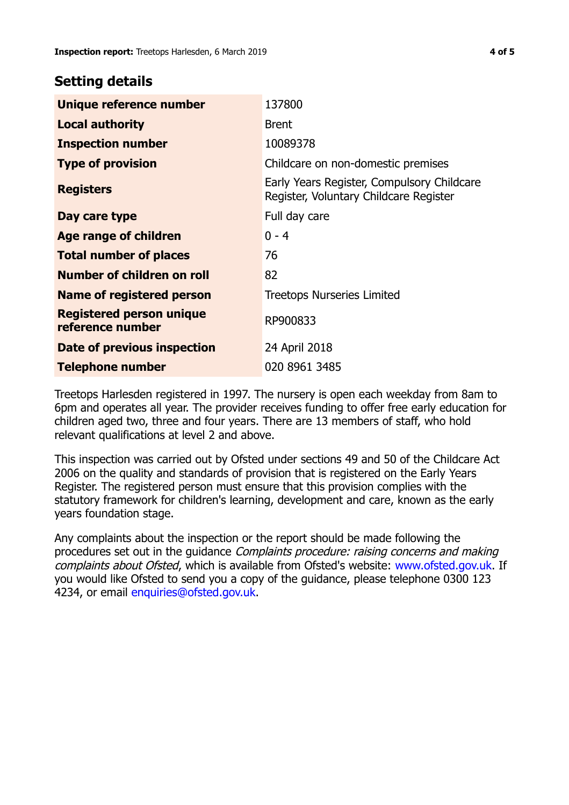## **Setting details**

| Unique reference number                             | 137800                                                                               |  |
|-----------------------------------------------------|--------------------------------------------------------------------------------------|--|
| <b>Local authority</b>                              | <b>Brent</b>                                                                         |  |
| <b>Inspection number</b>                            | 10089378                                                                             |  |
| <b>Type of provision</b>                            | Childcare on non-domestic premises                                                   |  |
| <b>Registers</b>                                    | Early Years Register, Compulsory Childcare<br>Register, Voluntary Childcare Register |  |
| Day care type                                       | Full day care                                                                        |  |
| Age range of children                               | $0 - 4$                                                                              |  |
| <b>Total number of places</b>                       | 76                                                                                   |  |
| Number of children on roll                          | 82                                                                                   |  |
| Name of registered person                           | <b>Treetops Nurseries Limited</b>                                                    |  |
| <b>Registered person unique</b><br>reference number | RP900833                                                                             |  |
| Date of previous inspection                         | 24 April 2018                                                                        |  |
| <b>Telephone number</b>                             | 020 8961 3485                                                                        |  |

Treetops Harlesden registered in 1997. The nursery is open each weekday from 8am to 6pm and operates all year. The provider receives funding to offer free early education for children aged two, three and four years. There are 13 members of staff, who hold relevant qualifications at level 2 and above.

This inspection was carried out by Ofsted under sections 49 and 50 of the Childcare Act 2006 on the quality and standards of provision that is registered on the Early Years Register. The registered person must ensure that this provision complies with the statutory framework for children's learning, development and care, known as the early years foundation stage.

Any complaints about the inspection or the report should be made following the procedures set out in the guidance Complaints procedure: raising concerns and making complaints about Ofsted, which is available from Ofsted's website: www.ofsted.gov.uk. If you would like Ofsted to send you a copy of the guidance, please telephone 0300 123 4234, or email [enquiries@ofsted.gov.uk.](mailto:enquiries@ofsted.gov.uk)